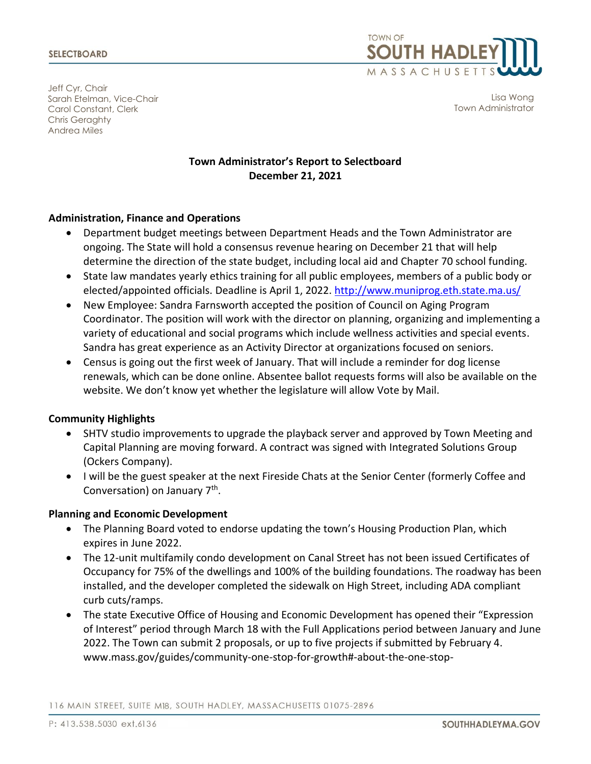

Jeff Cyr, Chair Sarah Etelman, Vice-Chair Carol Constant, Clerk Chris Geraghty Andrea Miles

Lisa Wong Town Administrator

# **Town Administrator's Report to Selectboard December 21, 2021**

#### **Administration, Finance and Operations**

- Department budget meetings between Department Heads and the Town Administrator are ongoing. The State will hold a consensus revenue hearing on December 21 that will help determine the direction of the state budget, including local aid and Chapter 70 school funding.
- State law mandates yearly ethics training for all public employees, members of a public body or elected/appointed officials. Deadline is April 1, 2022.<http://www.muniprog.eth.state.ma.us/>
- New Employee: Sandra Farnsworth accepted the position of Council on Aging Program Coordinator. The position will work with the director on planning, organizing and implementing a variety of educational and social programs which include wellness activities and special events. Sandra has great experience as an Activity Director at organizations focused on seniors.
- Census is going out the first week of January. That will include a reminder for dog license renewals, which can be done online. Absentee ballot requests forms will also be available on the website. We don't know yet whether the legislature will allow Vote by Mail.

#### **Community Highlights**

- SHTV studio improvements to upgrade the playback server and approved by Town Meeting and Capital Planning are moving forward. A contract was signed with Integrated Solutions Group (Ockers Company).
- I will be the guest speaker at the next Fireside Chats at the Senior Center (formerly Coffee and Conversation) on January 7<sup>th</sup>.

#### **Planning and Economic Development**

- The Planning Board voted to endorse updating the town's Housing Production Plan, which expires in June 2022.
- The 12-unit multifamily condo development on Canal Street has not been issued Certificates of Occupancy for 75% of the dwellings and 100% of the building foundations. The roadway has been installed, and the developer completed the sidewalk on High Street, including ADA compliant curb cuts/ramps.
- The state Executive Office of Housing and Economic Development has opened their "Expression of Interest" period through March 18 with the Full Applications period between January and June 2022. The Town can submit 2 proposals, or up to five projects if submitted by February 4. www.mass.gov/guides/community-one-stop-for-growth#-about-the-one-stop-